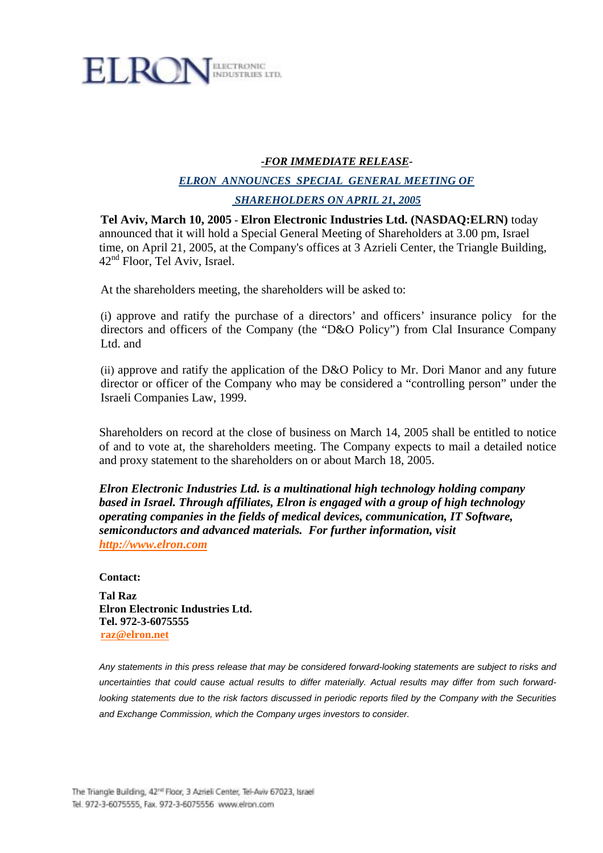

# *-FOR IMMEDIATE RELEASE-*

# *ELRON ANNOUNCES SPECIAL GENERAL MEETING OF SHAREHOLDERS ON APRIL 21, 2005*

**Tel Aviv, March 10, 2005 - Elron Electronic Industries Ltd. (NASDAQ:ELRN)** today announced that it will hold a Special General Meeting of Shareholders at 3.00 pm, Israel time, on April 21, 2005, at the Company's offices at 3 Azrieli Center, the Triangle Building, 42nd Floor, Tel Aviv, Israel.

At the shareholders meeting, the shareholders will be asked to:

(i) approve and ratify the purchase of a directors' and officers' insurance policy for the directors and officers of the Company (the "D&O Policy") from Clal Insurance Company Ltd. and

(ii) approve and ratify the application of the D&O Policy to Mr. Dori Manor and any future director or officer of the Company who may be considered a "controlling person" under the Israeli Companies Law, 1999.

Shareholders on record at the close of business on March 14, 2005 shall be entitled to notice of and to vote at, the shareholders meeting. The Company expects to mail a detailed notice and proxy statement to the shareholders on or about March 18, 2005.

*Elron Electronic Industries Ltd. is a multinational high technology holding company based in Israel. Through affiliates, Elron is engaged with a group of high technology operating companies in the fields of medical devices, communication, IT Software, semiconductors and advanced materials. For further information, visit http://www.elron.com*

#### **Contact:**

**Tal Raz Elron Electronic Industries Ltd. Tel. 972-3-6075555 raz@elron.net** 

*Any statements in this press release that may be considered forward-looking statements are subject to risks and uncertainties that could cause actual results to differ materially. Actual results may differ from such forwardlooking statements due to the risk factors discussed in periodic reports filed by the Company with the Securities and Exchange Commission, which the Company urges investors to consider.*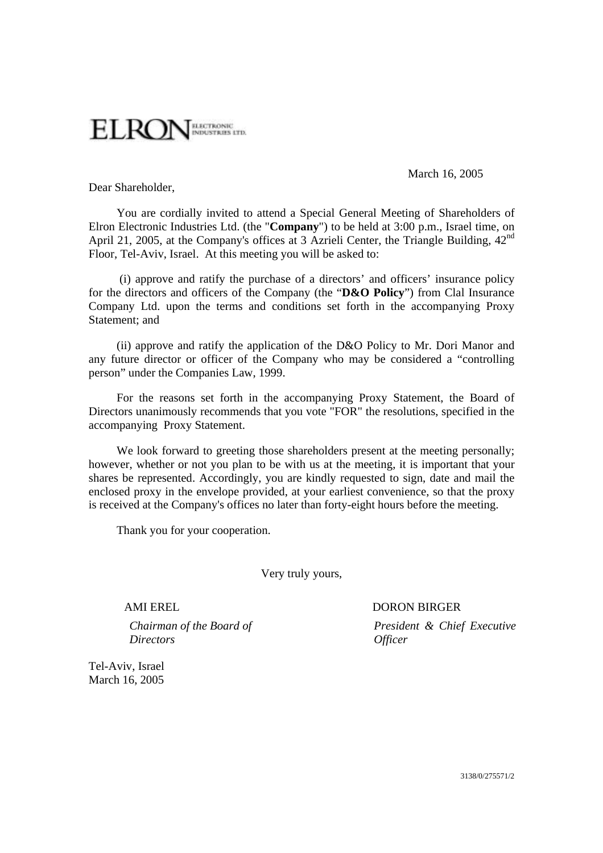

March 16, 2005

Dear Shareholder,

You are cordially invited to attend a Special General Meeting of Shareholders of Elron Electronic Industries Ltd. (the "**Company**") to be held at 3:00 p.m., Israel time, on April 21, 2005, at the Company's offices at 3 Azrieli Center, the Triangle Building, 42<sup>nd</sup> Floor, Tel-Aviv, Israel. At this meeting you will be asked to:

 (i) approve and ratify the purchase of a directors' and officers' insurance policy for the directors and officers of the Company (the "**D&O Policy**") from Clal Insurance Company Ltd. upon the terms and conditions set forth in the accompanying Proxy Statement; and

(ii) approve and ratify the application of the D&O Policy to Mr. Dori Manor and any future director or officer of the Company who may be considered a "controlling person" under the Companies Law, 1999.

For the reasons set forth in the accompanying Proxy Statement, the Board of Directors unanimously recommends that you vote "FOR" the resolutions, specified in the accompanying Proxy Statement.

We look forward to greeting those shareholders present at the meeting personally; however, whether or not you plan to be with us at the meeting, it is important that your shares be represented. Accordingly, you are kindly requested to sign, date and mail the enclosed proxy in the envelope provided, at your earliest convenience, so that the proxy is received at the Company's offices no later than forty-eight hours before the meeting.

Thank you for your cooperation.

Very truly yours,

*Chairman of the Board of Directors* 

## AMI EREL DORON BIRGER

*President & Chief Executive Officer* 

Tel-Aviv, Israel March 16, 2005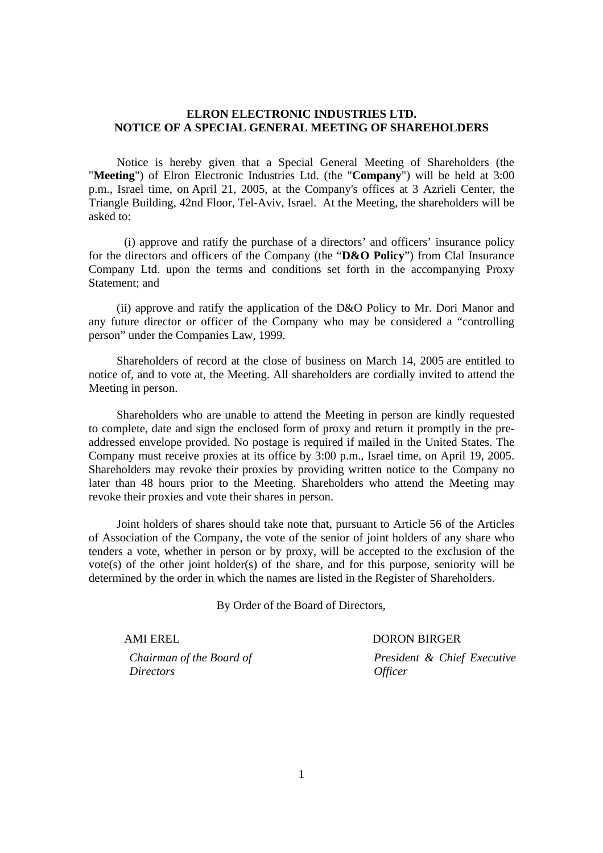### **ELRON ELECTRONIC INDUSTRIES LTD. NOTICE OF A SPECIAL GENERAL MEETING OF SHAREHOLDERS**

Notice is hereby given that a Special General Meeting of Shareholders (the "**Meeting**") of Elron Electronic Industries Ltd. (the "**Company**") will be held at 3:00 p.m., Israel time, on April 21, 2005, at the Company's offices at 3 Azrieli Center, the Triangle Building, 42nd Floor, Tel-Aviv, Israel. At the Meeting, the shareholders will be asked to:

 (i) approve and ratify the purchase of a directors' and officers' insurance policy for the directors and officers of the Company (the "**D&O Policy**") from Clal Insurance Company Ltd. upon the terms and conditions set forth in the accompanying Proxy Statement; and

(ii) approve and ratify the application of the D&O Policy to Mr. Dori Manor and any future director or officer of the Company who may be considered a "controlling person" under the Companies Law, 1999.

Shareholders of record at the close of business on March 14, 2005 are entitled to notice of, and to vote at, the Meeting. All shareholders are cordially invited to attend the Meeting in person.

Shareholders who are unable to attend the Meeting in person are kindly requested to complete, date and sign the enclosed form of proxy and return it promptly in the preaddressed envelope provided. No postage is required if mailed in the United States. The Company must receive proxies at its office by 3:00 p.m., Israel time, on April 19, 2005. Shareholders may revoke their proxies by providing written notice to the Company no later than 48 hours prior to the Meeting. Shareholders who attend the Meeting may revoke their proxies and vote their shares in person.

Joint holders of shares should take note that, pursuant to Article 56 of the Articles of Association of the Company, the vote of the senior of joint holders of any share who tenders a vote, whether in person or by proxy, will be accepted to the exclusion of the vote(s) of the other joint holder(s) of the share, and for this purpose, seniority will be determined by the order in which the names are listed in the Register of Shareholders.

By Order of the Board of Directors,

*Chairman of the Board of Directors* 

# AMI EREL DORON BIRGER

*President & Chief Executive Officer*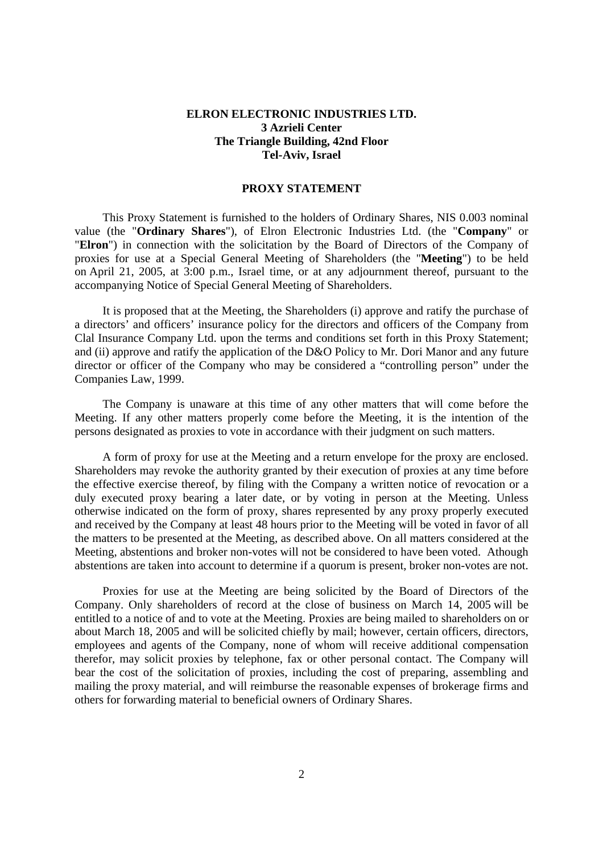#### **ELRON ELECTRONIC INDUSTRIES LTD. 3 Azrieli Center The Triangle Building, 42nd Floor Tel-Aviv, Israel**

#### **PROXY STATEMENT**

This Proxy Statement is furnished to the holders of Ordinary Shares, NIS 0.003 nominal value (the "**Ordinary Shares**"), of Elron Electronic Industries Ltd. (the "**Company**" or "**Elron**") in connection with the solicitation by the Board of Directors of the Company of proxies for use at a Special General Meeting of Shareholders (the "**Meeting**") to be held on April 21, 2005, at 3:00 p.m., Israel time, or at any adjournment thereof, pursuant to the accompanying Notice of Special General Meeting of Shareholders.

It is proposed that at the Meeting, the Shareholders (i) approve and ratify the purchase of a directors' and officers' insurance policy for the directors and officers of the Company from Clal Insurance Company Ltd. upon the terms and conditions set forth in this Proxy Statement; and (ii) approve and ratify the application of the D&O Policy to Mr. Dori Manor and any future director or officer of the Company who may be considered a "controlling person" under the Companies Law, 1999.

The Company is unaware at this time of any other matters that will come before the Meeting. If any other matters properly come before the Meeting, it is the intention of the persons designated as proxies to vote in accordance with their judgment on such matters.

A form of proxy for use at the Meeting and a return envelope for the proxy are enclosed. Shareholders may revoke the authority granted by their execution of proxies at any time before the effective exercise thereof, by filing with the Company a written notice of revocation or a duly executed proxy bearing a later date, or by voting in person at the Meeting. Unless otherwise indicated on the form of proxy, shares represented by any proxy properly executed and received by the Company at least 48 hours prior to the Meeting will be voted in favor of all the matters to be presented at the Meeting, as described above. On all matters considered at the Meeting, abstentions and broker non-votes will not be considered to have been voted. Athough abstentions are taken into account to determine if a quorum is present, broker non-votes are not.

Proxies for use at the Meeting are being solicited by the Board of Directors of the Company. Only shareholders of record at the close of business on March 14, 2005 will be entitled to a notice of and to vote at the Meeting. Proxies are being mailed to shareholders on or about March 18, 2005 and will be solicited chiefly by mail; however, certain officers, directors, employees and agents of the Company, none of whom will receive additional compensation therefor, may solicit proxies by telephone, fax or other personal contact. The Company will bear the cost of the solicitation of proxies, including the cost of preparing, assembling and mailing the proxy material, and will reimburse the reasonable expenses of brokerage firms and others for forwarding material to beneficial owners of Ordinary Shares.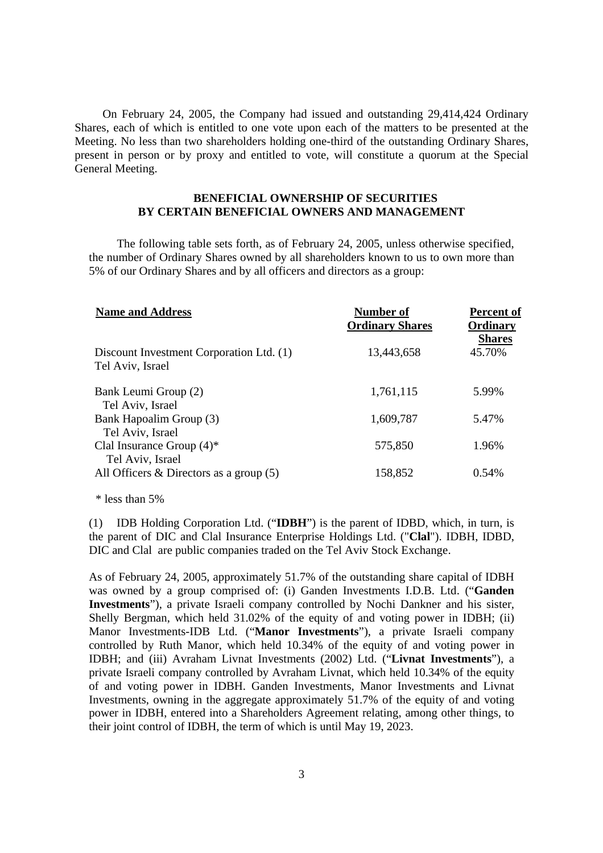On February 24, 2005, the Company had issued and outstanding 29,414,424 Ordinary Shares, each of which is entitled to one vote upon each of the matters to be presented at the Meeting. No less than two shareholders holding one-third of the outstanding Ordinary Shares, present in person or by proxy and entitled to vote, will constitute a quorum at the Special General Meeting.

#### **BENEFICIAL OWNERSHIP OF SECURITIES BY CERTAIN BENEFICIAL OWNERS AND MANAGEMENT**

The following table sets forth, as of February 24, 2005, unless otherwise specified, the number of Ordinary Shares owned by all shareholders known to us to own more than 5% of our Ordinary Shares and by all officers and directors as a group:

| <b>Name and Address</b>                                      | Number of<br><b>Ordinary Shares</b> | <b>Percent of</b><br>Ordinary<br><b>Shares</b> |
|--------------------------------------------------------------|-------------------------------------|------------------------------------------------|
| Discount Investment Corporation Ltd. (1)<br>Tel Aviv, Israel | 13,443,658                          | 45.70%                                         |
| Bank Leumi Group (2)<br>Tel Aviv, Israel                     | 1,761,115                           | 5.99%                                          |
| Bank Hapoalim Group (3)                                      | 1,609,787                           | 5.47%                                          |
| Tel Aviv, Israel                                             |                                     |                                                |
| Clal Insurance Group $(4)^*$<br>Tel Aviv, Israel             | 575,850                             | 1.96%                                          |
| All Officers $\&$ Directors as a group (5)                   | 158,852                             | 0.54%                                          |

\* less than 5%

 (1) IDB Holding Corporation Ltd. ("**IDBH**") is the parent of IDBD, which, in turn, is the parent of DIC and Clal Insurance Enterprise Holdings Ltd. ("**Clal**"). IDBH, IDBD, DIC and Clal are public companies traded on the Tel Aviv Stock Exchange.

 As of February 24, 2005, approximately 51.7% of the outstanding share capital of IDBH was owned by a group comprised of: (i) Ganden Investments I.D.B. Ltd. ("**Ganden Investments**"), a private Israeli company controlled by Nochi Dankner and his sister, Shelly Bergman, which held 31.02% of the equity of and voting power in IDBH; (ii) Manor Investments-IDB Ltd. ("**Manor Investments**"), a private Israeli company controlled by Ruth Manor, which held 10.34% of the equity of and voting power in IDBH; and (iii) Avraham Livnat Investments (2002) Ltd. ("**Livnat Investments**"), a private Israeli company controlled by Avraham Livnat, which held 10.34% of the equity of and voting power in IDBH. Ganden Investments, Manor Investments and Livnat Investments, owning in the aggregate approximately 51.7% of the equity of and voting power in IDBH, entered into a Shareholders Agreement relating, among other things, to their joint control of IDBH, the term of which is until May 19, 2023.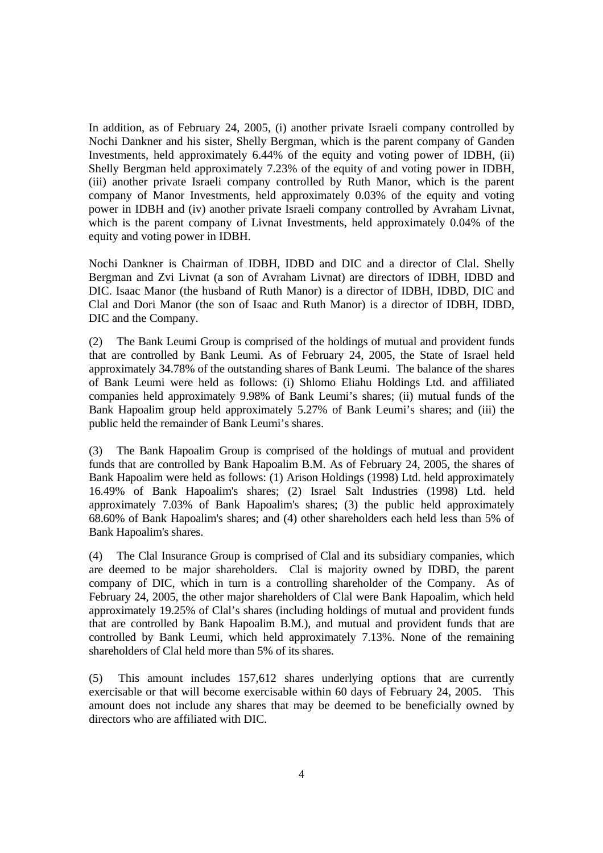In addition, as of February 24, 2005, (i) another private Israeli company controlled by Nochi Dankner and his sister, Shelly Bergman, which is the parent company of Ganden Investments, held approximately 6.44% of the equity and voting power of IDBH, (ii) Shelly Bergman held approximately 7.23% of the equity of and voting power in IDBH, (iii) another private Israeli company controlled by Ruth Manor, which is the parent company of Manor Investments, held approximately 0.03% of the equity and voting power in IDBH and (iv) another private Israeli company controlled by Avraham Livnat, which is the parent company of Livnat Investments, held approximately 0.04% of the equity and voting power in IDBH.

Nochi Dankner is Chairman of IDBH, IDBD and DIC and a director of Clal. Shelly Bergman and Zvi Livnat (a son of Avraham Livnat) are directors of IDBH, IDBD and DIC. Isaac Manor (the husband of Ruth Manor) is a director of IDBH, IDBD, DIC and Clal and Dori Manor (the son of Isaac and Ruth Manor) is a director of IDBH, IDBD, DIC and the Company.

 (2) The Bank Leumi Group is comprised of the holdings of mutual and provident funds that are controlled by Bank Leumi. As of February 24, 2005, the State of Israel held approximately 34.78% of the outstanding shares of Bank Leumi. The balance of the shares of Bank Leumi were held as follows: (i) Shlomo Eliahu Holdings Ltd. and affiliated companies held approximately 9.98% of Bank Leumi's shares; (ii) mutual funds of the Bank Hapoalim group held approximately 5.27% of Bank Leumi's shares; and (iii) the public held the remainder of Bank Leumi's shares.

 (3) The Bank Hapoalim Group is comprised of the holdings of mutual and provident funds that are controlled by Bank Hapoalim B.M. As of February 24, 2005, the shares of Bank Hapoalim were held as follows: (1) Arison Holdings (1998) Ltd. held approximately 16.49% of Bank Hapoalim's shares; (2) Israel Salt Industries (1998) Ltd. held approximately 7.03% of Bank Hapoalim's shares; (3) the public held approximately 68.60% of Bank Hapoalim's shares; and (4) other shareholders each held less than 5% of Bank Hapoalim's shares.

 (4) The Clal Insurance Group is comprised of Clal and its subsidiary companies, which are deemed to be major shareholders. Clal is majority owned by IDBD, the parent company of DIC, which in turn is a controlling shareholder of the Company. As of February 24, 2005, the other major shareholders of Clal were Bank Hapoalim, which held approximately 19.25% of Clal's shares (including holdings of mutual and provident funds that are controlled by Bank Hapoalim B.M.), and mutual and provident funds that are controlled by Bank Leumi, which held approximately 7.13%. None of the remaining shareholders of Clal held more than 5% of its shares.

 (5) This amount includes 157,612 shares underlying options that are currently exercisable or that will become exercisable within 60 days of February 24, 2005. This amount does not include any shares that may be deemed to be beneficially owned by directors who are affiliated with DIC.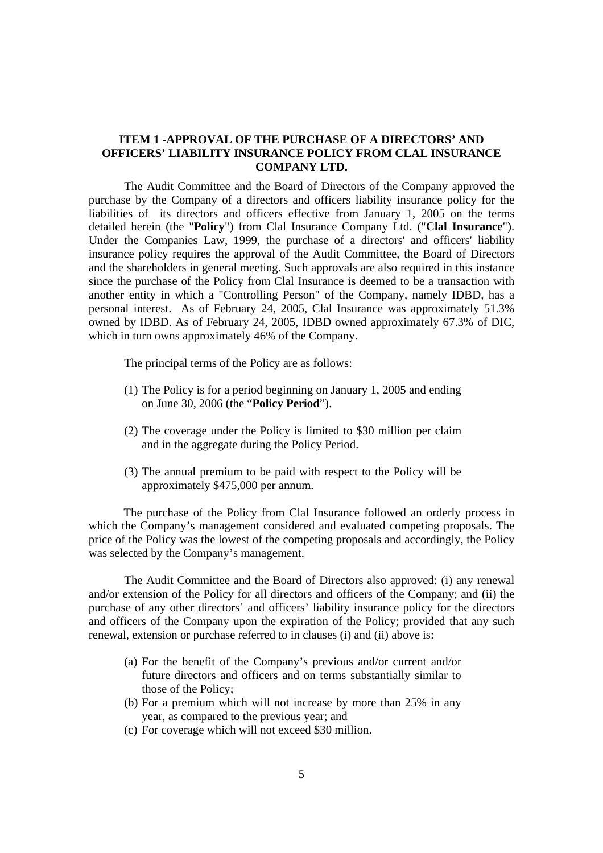#### **ITEM 1 -APPROVAL OF THE PURCHASE OF A DIRECTORS' AND OFFICERS' LIABILITY INSURANCE POLICY FROM CLAL INSURANCE COMPANY LTD.**

 The Audit Committee and the Board of Directors of the Company approved the purchase by the Company of a directors and officers liability insurance policy for the liabilities of its directors and officers effective from January 1, 2005 on the terms detailed herein (the "**Policy**") from Clal Insurance Company Ltd. ("**Clal Insurance**"). Under the Companies Law, 1999, the purchase of a directors' and officers' liability insurance policy requires the approval of the Audit Committee, the Board of Directors and the shareholders in general meeting. Such approvals are also required in this instance since the purchase of the Policy from Clal Insurance is deemed to be a transaction with another entity in which a "Controlling Person" of the Company, namely IDBD, has a personal interest. As of February 24, 2005, Clal Insurance was approximately 51.3% owned by IDBD. As of February 24, 2005, IDBD owned approximately 67.3% of DIC, which in turn owns approximately 46% of the Company.

The principal terms of the Policy are as follows:

- (1) The Policy is for a period beginning on January 1, 2005 and ending on June 30, 2006 (the "**Policy Period**").
- (2) The coverage under the Policy is limited to \$30 million per claim and in the aggregate during the Policy Period.
- (3) The annual premium to be paid with respect to the Policy will be approximately \$475,000 per annum.

The purchase of the Policy from Clal Insurance followed an orderly process in which the Company's management considered and evaluated competing proposals. The price of the Policy was the lowest of the competing proposals and accordingly, the Policy was selected by the Company's management.

The Audit Committee and the Board of Directors also approved: (i) any renewal and/or extension of the Policy for all directors and officers of the Company; and (ii) the purchase of any other directors' and officers' liability insurance policy for the directors and officers of the Company upon the expiration of the Policy; provided that any such renewal, extension or purchase referred to in clauses (i) and (ii) above is:

- (a) For the benefit of the Company's previous and/or current and/or future directors and officers and on terms substantially similar to those of the Policy;
- (b) For a premium which will not increase by more than 25% in any year, as compared to the previous year; and
- (c) For coverage which will not exceed \$30 million.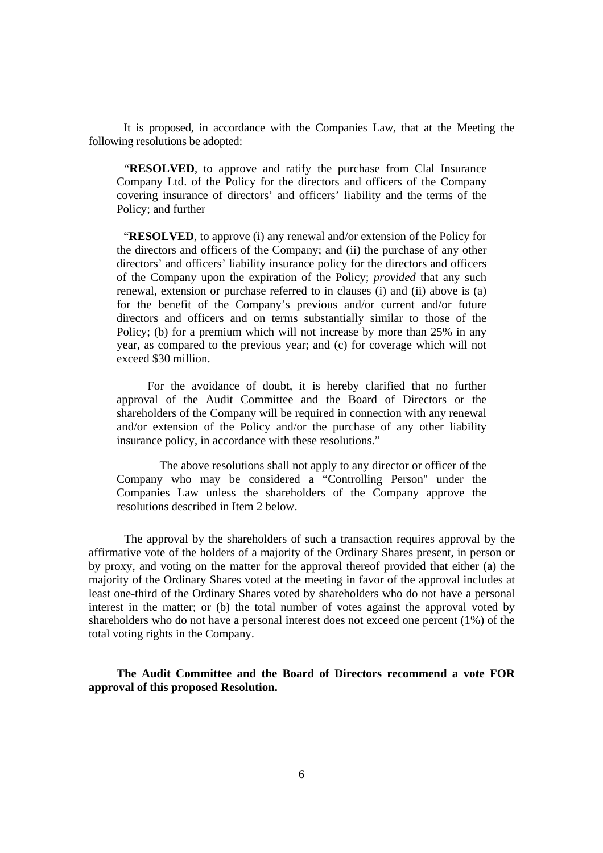It is proposed, in accordance with the Companies Law, that at the Meeting the following resolutions be adopted:

"**RESOLVED**, to approve and ratify the purchase from Clal Insurance Company Ltd. of the Policy for the directors and officers of the Company covering insurance of directors' and officers' liability and the terms of the Policy; and further

**"RESOLVED**, to approve (i) any renewal and/or extension of the Policy for the directors and officers of the Company; and (ii) the purchase of any other directors' and officers' liability insurance policy for the directors and officers of the Company upon the expiration of the Policy; *provided* that any such renewal, extension or purchase referred to in clauses (i) and (ii) above is (a) for the benefit of the Company's previous and/or current and/or future directors and officers and on terms substantially similar to those of the Policy; (b) for a premium which will not increase by more than 25% in any year, as compared to the previous year; and (c) for coverage which will not exceed \$30 million.

 For the avoidance of doubt, it is hereby clarified that no further approval of the Audit Committee and the Board of Directors or the shareholders of the Company will be required in connection with any renewal and/or extension of the Policy and/or the purchase of any other liability insurance policy, in accordance with these resolutions."

 The above resolutions shall not apply to any director or officer of the Company who may be considered a "Controlling Person" under the Companies Law unless the shareholders of the Company approve the resolutions described in Item 2 below.

 The approval by the shareholders of such a transaction requires approval by the affirmative vote of the holders of a majority of the Ordinary Shares present, in person or by proxy, and voting on the matter for the approval thereof provided that either (a) the majority of the Ordinary Shares voted at the meeting in favor of the approval includes at least one-third of the Ordinary Shares voted by shareholders who do not have a personal interest in the matter; or (b) the total number of votes against the approval voted by shareholders who do not have a personal interest does not exceed one percent (1%) of the total voting rights in the Company.

**The Audit Committee and the Board of Directors recommend a vote FOR approval of this proposed Resolution.**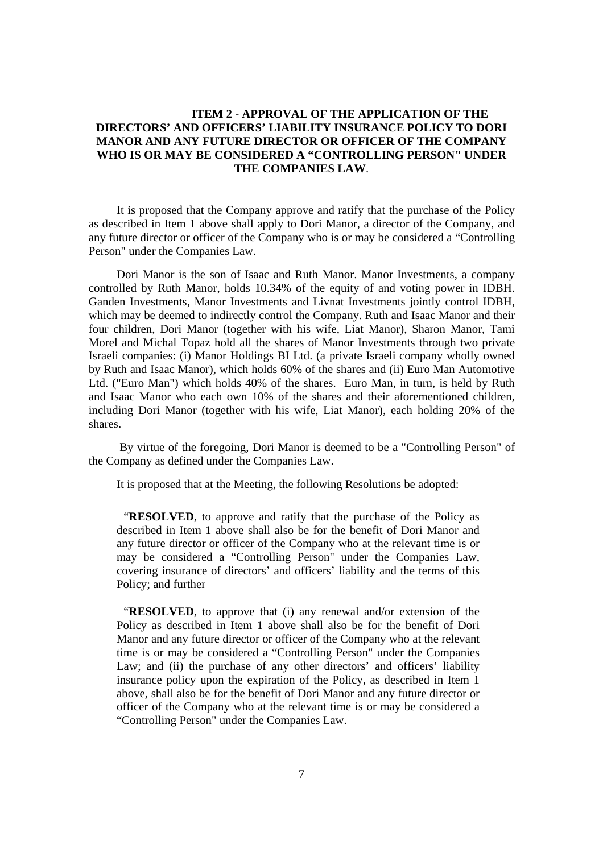## **ITEM 2 - APPROVAL OF THE APPLICATION OF THE DIRECTORS' AND OFFICERS' LIABILITY INSURANCE POLICY TO DORI MANOR AND ANY FUTURE DIRECTOR OR OFFICER OF THE COMPANY WHO IS OR MAY BE CONSIDERED A "CONTROLLING PERSON" UNDER THE COMPANIES LAW**.

It is proposed that the Company approve and ratify that the purchase of the Policy as described in Item 1 above shall apply to Dori Manor, a director of the Company, and any future director or officer of the Company who is or may be considered a "Controlling Person" under the Companies Law.

Dori Manor is the son of Isaac and Ruth Manor. Manor Investments, a company controlled by Ruth Manor, holds 10.34% of the equity of and voting power in IDBH. Ganden Investments, Manor Investments and Livnat Investments jointly control IDBH, which may be deemed to indirectly control the Company. Ruth and Isaac Manor and their four children, Dori Manor (together with his wife, Liat Manor), Sharon Manor, Tami Morel and Michal Topaz hold all the shares of Manor Investments through two private Israeli companies: (i) Manor Holdings BI Ltd. (a private Israeli company wholly owned by Ruth and Isaac Manor), which holds 60% of the shares and (ii) Euro Man Automotive Ltd. ("Euro Man") which holds 40% of the shares. Euro Man, in turn, is held by Ruth and Isaac Manor who each own 10% of the shares and their aforementioned children, including Dori Manor (together with his wife, Liat Manor), each holding 20% of the shares.

 By virtue of the foregoing, Dori Manor is deemed to be a "Controlling Person" of the Company as defined under the Companies Law.

It is proposed that at the Meeting, the following Resolutions be adopted:

"**RESOLVED**, to approve and ratify that the purchase of the Policy as described in Item 1 above shall also be for the benefit of Dori Manor and any future director or officer of the Company who at the relevant time is or may be considered a "Controlling Person" under the Companies Law, covering insurance of directors' and officers' liability and the terms of this Policy; and further

"**RESOLVED**, to approve that (i) any renewal and/or extension of the Policy as described in Item 1 above shall also be for the benefit of Dori Manor and any future director or officer of the Company who at the relevant time is or may be considered a "Controlling Person" under the Companies Law; and (ii) the purchase of any other directors' and officers' liability insurance policy upon the expiration of the Policy, as described in Item 1 above, shall also be for the benefit of Dori Manor and any future director or officer of the Company who at the relevant time is or may be considered a "Controlling Person" under the Companies Law.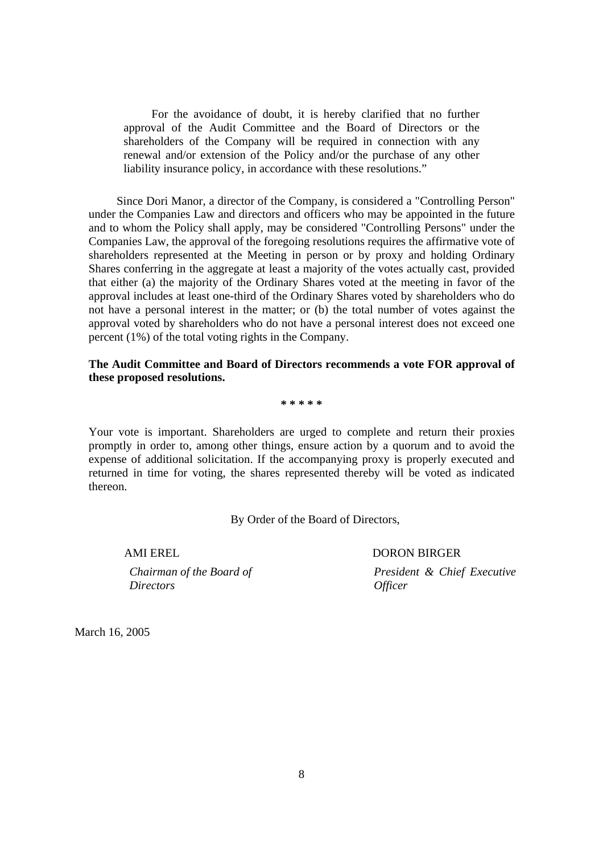For the avoidance of doubt, it is hereby clarified that no further approval of the Audit Committee and the Board of Directors or the shareholders of the Company will be required in connection with any renewal and/or extension of the Policy and/or the purchase of any other liability insurance policy, in accordance with these resolutions."

Since Dori Manor, a director of the Company, is considered a "Controlling Person" under the Companies Law and directors and officers who may be appointed in the future and to whom the Policy shall apply, may be considered "Controlling Persons" under the Companies Law, the approval of the foregoing resolutions requires the affirmative vote of shareholders represented at the Meeting in person or by proxy and holding Ordinary Shares conferring in the aggregate at least a majority of the votes actually cast, provided that either (a) the majority of the Ordinary Shares voted at the meeting in favor of the approval includes at least one-third of the Ordinary Shares voted by shareholders who do not have a personal interest in the matter; or (b) the total number of votes against the approval voted by shareholders who do not have a personal interest does not exceed one percent (1%) of the total voting rights in the Company.

#### **The Audit Committee and Board of Directors recommends a vote FOR approval of these proposed resolutions.**

**\* \* \* \* \***

Your vote is important. Shareholders are urged to complete and return their proxies promptly in order to, among other things, ensure action by a quorum and to avoid the expense of additional solicitation. If the accompanying proxy is properly executed and returned in time for voting, the shares represented thereby will be voted as indicated thereon.

By Order of the Board of Directors,

*Chairman of the Board of Directors* 

AMI EREL DORON BIRGER

*President & Chief Executive Officer* 

March 16, 2005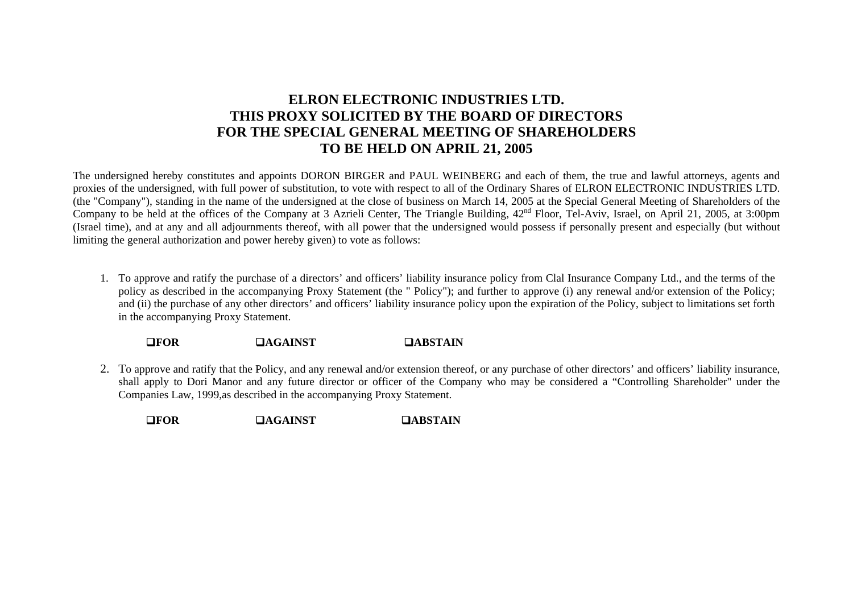# **ELRON ELECTRONIC INDUSTRIES LTD. THIS PROXY SOLICITED BY THE BOARD OF DIRECTORS FOR THE SPECIAL GENERAL MEETING OF SHAREHOLDERS TO BE HELD ON APRIL 21, 2005**

The undersigned hereby constitutes and appoints DORON BIRGER and PAUL WEINBERG and each of them, the true and lawful attorneys, agents and proxies of the undersigned, with full power of substitution, to vote with respect to all of the Ordinary Shares of ELRON ELECTRONIC INDUSTRIES LTD. (the "Company"), standing in the name of the undersigned at the close of business on March 14, 2005 at the Special General Meeting of Shareholders of the Company to be held at the offices of the Company at 3 Azrieli Center, The Triangle Building,  $42<sup>nd</sup>$  Floor, Tel-Aviv, Israel, on April 21, 2005, at 3:00pm (Israel time), and at any and all adjournments thereof, with all power that the undersigned would possess if personally present and especially (but without limiting the general authorization and power hereby given) to vote as follows:

1. To approve and ratify the purchase of a directors' and officers' liability insurance policy from Clal Insurance Company Ltd., and the terms of the policy as described in the accompanying Proxy Statement (the " Policy"); and further to approve (i) any renewal and/or extension of the Policy; and (ii) the purchase of any other directors' and officers' liability insurance policy upon the expiration of the Policy, subject to limitations set forth in the accompanying Proxy Statement.

!**FOR**!**AGAINST** !**ABSTAIN** 

2. To approve and ratify that the Policy, and any renewal and/or extension thereof, or any purchase of other directors' and officers' liability insurance, shall apply to Dori Manor and any future director or officer of the Company who may be considered a "Controlling Shareholder" under the Companies Law, 1999,as described in the accompanying Proxy Statement.

!**FOR**!**AGAINST** !**ABSTAIN**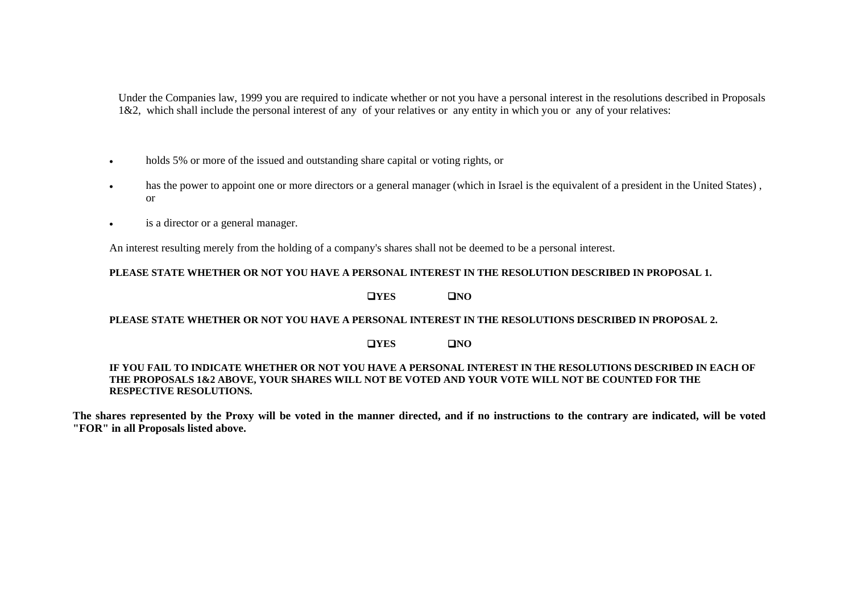Under the Companies law, 1999 you are required to indicate whether or not you have a personal interest in the resolutions described in Proposals 1&2, which shall include the personal interest of any of your relatives or any entity in which you or any of your relatives:

- •holds 5% or more of the issued and outstanding share capital or voting rights, or
- • has the power to appoint one or more directors or a general manager (which in Israel is the equivalent of a president in the United States) , or
- •is a director or a general manager.

An interest resulting merely from the holding of a company's shares shall not be deemed to be a personal interest.

#### **PLEASE STATE WHETHER OR NOT YOU HAVE A PERSONAL INTEREST IN THE RESOLUTION DESCRIBED IN PROPOSAL 1.**

!**YES** !**NO** 

#### **PLEASE STATE WHETHER OR NOT YOU HAVE A PERSONAL INTEREST IN THE RESOLUTIONS DESCRIBED IN PROPOSAL 2.**

#### $\blacksquare$  YES !**NO**

#### **IF YOU FAIL TO INDICATE WHETHER OR NOT YOU HAVE A PERSONAL INTEREST IN THE RESOLUTIONS DESCRIBED IN EACH OF THE PROPOSALS 1&2 ABOVE, YOUR SHARES WILL NOT BE VOTED AND YOUR VOTE WILL NOT BE COUNTED FOR THE RESPECTIVE RESOLUTIONS.**

**The shares represented by the Proxy will be voted in the manner directed, and if no instructions to the contrary are indicated, will be voted "FOR" in all Proposals listed above.**